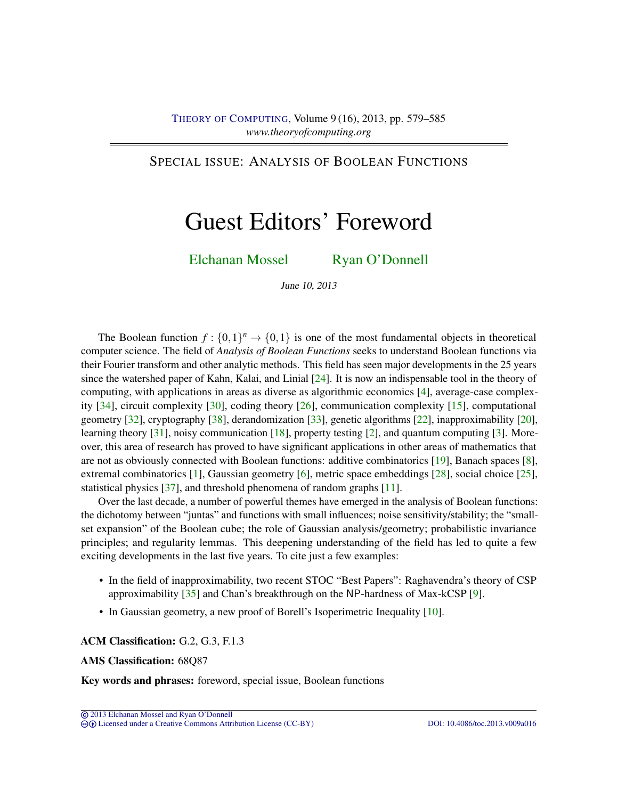# <span id="page-0-0"></span>SPECIAL ISSUE: ANALYSIS OF BOOLEAN FUNCTIONS

# Guest Editors' Foreword

[Elchanan Mossel](#page-6-0) [Ryan O'Donnell](#page-6-1)

June 10, 2013

The Boolean function  $f: \{0,1\}^n \to \{0,1\}$  is one of the most fundamental objects in theoretical computer science. The field of *Analysis of Boolean Functions* seeks to understand Boolean functions via their Fourier transform and other analytic methods. This field has seen major developments in the 25 years since the watershed paper of Kahn, Kalai, and Linial [\[24\]](#page-4-0). It is now an indispensable tool in the theory of computing, with applications in areas as diverse as algorithmic economics [\[4\]](#page-3-0), average-case complexity [\[34\]](#page-5-0), circuit complexity [\[30\]](#page-5-1), coding theory [\[26\]](#page-4-1), communication complexity [\[15\]](#page-4-2), computational geometry [\[32\]](#page-5-2), cryptography [\[38\]](#page-5-3), derandomization [\[33\]](#page-5-4), genetic algorithms [\[22\]](#page-4-3), inapproximability [\[20\]](#page-4-4), learning theory [\[31\]](#page-5-5), noisy communication [\[18\]](#page-4-5), property testing [\[2\]](#page-3-1), and quantum computing [\[3\]](#page-3-2). Moreover, this area of research has proved to have significant applications in other areas of mathematics that are not as obviously connected with Boolean functions: additive combinatorics [\[19\]](#page-4-6), Banach spaces [\[8\]](#page-3-3), extremal combinatorics [\[1\]](#page-3-4), Gaussian geometry [\[6\]](#page-3-5), metric space embeddings [\[28\]](#page-5-6), social choice [\[25\]](#page-4-7), statistical physics [\[37\]](#page-5-7), and threshold phenomena of random graphs [\[11\]](#page-3-6).

Over the last decade, a number of powerful themes have emerged in the analysis of Boolean functions: the dichotomy between "juntas" and functions with small influences; noise sensitivity/stability; the "smallset expansion" of the Boolean cube; the role of Gaussian analysis/geometry; probabilistic invariance principles; and regularity lemmas. This deepening understanding of the field has led to quite a few exciting developments in the last five years. To cite just a few examples:

- In the field of inapproximability, two recent STOC "Best Papers": Raghavendra's theory of CSP approximability [\[35\]](#page-5-8) and Chan's breakthrough on the NP-hardness of Max-kCSP [\[9\]](#page-3-7).
- In Gaussian geometry, a new proof of Borell's Isoperimetric Inequality [\[10\]](#page-3-8).

#### ACM Classification: G.2, G.3, F.1.3

#### AMS Classification: 68Q87

Key words and phrases: foreword, special issue, Boolean functions

cb [Licensed under a Creative Commons Attribution License \(CC-BY\)](http://creativecommons.org/licenses/by/3.0/) [DOI: 10.4086/toc.2013.v009a016](http://dx.doi.org/10.4086/toc.2013.v009a016)

<sup>©</sup> [2013 Elchanan Mossel and Ryan O'Donnell](http://theoryofcomputing.org/copyright2009.html)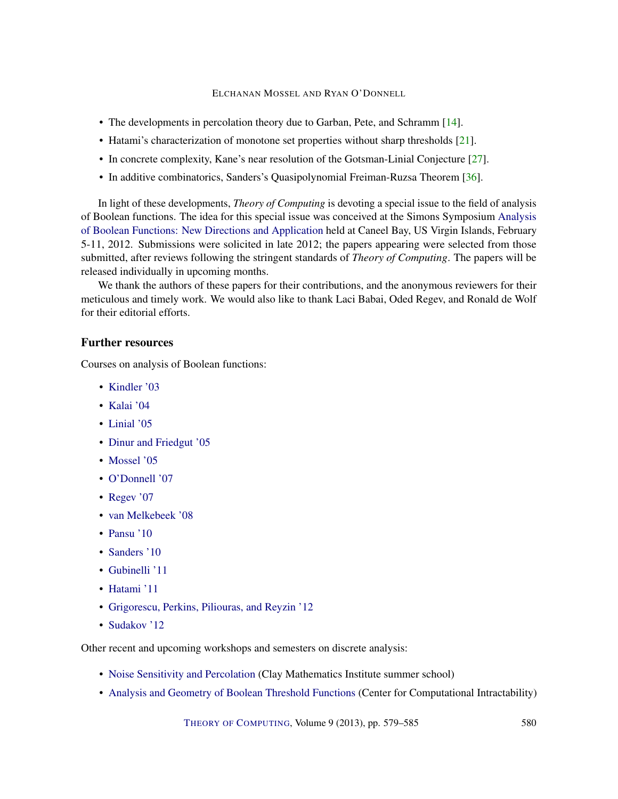## ELCHANAN MOSSEL AND RYAN O'DONNELL

- <span id="page-1-0"></span>• The developments in percolation theory due to Garban, Pete, and Schramm [\[14\]](#page-4-8).
- Hatami's characterization of monotone set properties without sharp thresholds [\[21\]](#page-4-9).
- In concrete complexity, Kane's near resolution of the Gotsman-Linial Conjecture [\[27\]](#page-5-9).
- In additive combinatorics, Sanders's Quasipolynomial Freiman-Ruzsa Theorem [\[36\]](#page-5-10).

In light of these developments, *Theory of Computing* is devoting a special issue to the field of analysis of Boolean functions. The idea for this special issue was conceived at the Simons Symposium [Analysis](https://simonsfoundation.org/features/simons-symposia/analysis-of-boolean-functions-new-directions-and-applications-3) [of Boolean Functions: New Directions and Application](https://simonsfoundation.org/features/simons-symposia/analysis-of-boolean-functions-new-directions-and-applications-3) held at Caneel Bay, US Virgin Islands, February 5-11, 2012. Submissions were solicited in late 2012; the papers appearing were selected from those submitted, after reviews following the stringent standards of *Theory of Computing*. The papers will be released individually in upcoming months.

We thank the authors of these papers for their contributions, and the anonymous reviewers for their meticulous and timely work. We would also like to thank Laci Babai, Oded Regev, and Ronald de Wolf for their editorial efforts.

### Further resources

Courses on analysis of Boolean functions:

- [Kindler '03](http://www.cs.huji.ac.il/~gkindler/weizmann-course/)
- [Kalai '04](http://cs-www.cs.yale.edu/homes/kalai/course.html)
- [Linial '05](http://www.cs.huji.ac.il/~nati/PAPERS/uw/)
- [Dinur and Friedgut '05](http://www.cs.huji.ac.il/~analyt/)
- [Mossel '05](http://www.stat.berkeley.edu/~mossel/teach/206af05/index.htm)
- [O'Donnell '07](http://www.cs.cmu.edu/~odonnell/boolean-analysis/)
- [Regev '07](http://www.cims.nyu.edu/~regev/teaching/analysis_fall_2007/index.html)
- [van Melkebeek '08](http://pages.cs.wisc.edu/~dieter/Courses/2008s-CS880/lectures.html)
- [Pansu '10](http://www.math.ens.fr/recherche/-Seminars-?id_seminaire=6)
- [Sanders '10](http://people.maths.ox.ac.uk/~sanders/abf/notes.pdf)
- [Gubinelli '11](https://www.ceremade.dauphine.fr/~mgubi/e1011/index.html#bf)
- [Hatami '11](http://cs.mcgill.ca/~hatami/comp760-2011/)
- [Grigorescu, Perkins, Piliouras, and Reyzin '12](http://people.math.gatech.edu/~wperkins3/fourier/)
- [Sudakov '12](http://www.math.ucla.edu/~bsudakov/fourier.html)

Other recent and upcoming workshops and semesters on discrete analysis:

- [Noise Sensitivity and Percolation](http://www.claymath.org/programs/summer_school/2010/) (Clay Mathematics Institute summer school)
- [Analysis and Geometry of Boolean Threshold Functions](http://intractability.princeton.edu/blog/2010/08/workshop-ltfptf/) (Center for Computational Intractability)

THEORY OF C[OMPUTING](http://dx.doi.org/10.4086/toc), Volume 9 (2013), pp. 579–585 580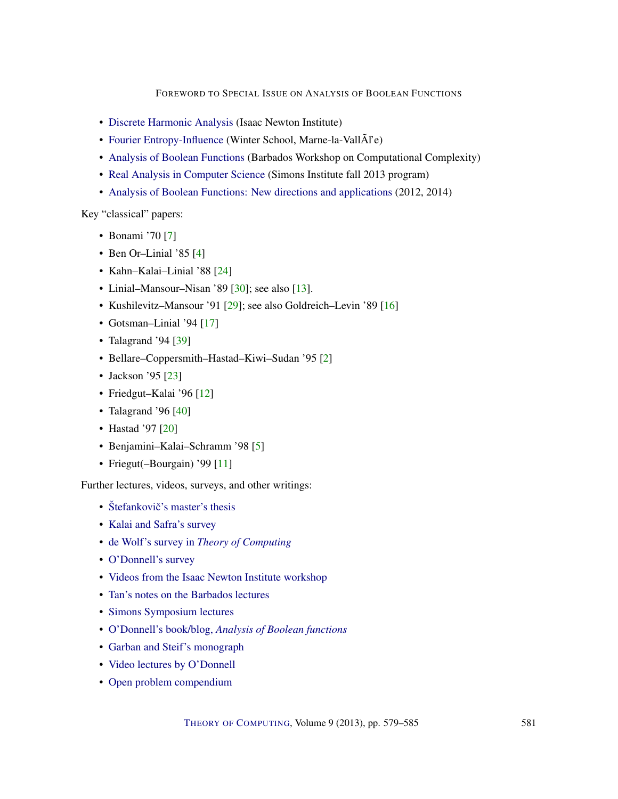FOREWORD TO SPECIAL ISSUE ON ANALYSIS OF BOOLEAN FUNCTIONS

- <span id="page-2-0"></span>• [Discrete Harmonic Analysis](http://www.newton.ac.uk/programmes/DAN/danw02.html) (Isaac Newton Institute)
- [Fourier Entropy-Influence](http://wiki-math.univ-mlv.fr/gemecod/doku.php/winterschool2012) (Winter School, Marne-la-VallÃl'e)
- [Analysis of Boolean Functions](http://www.cs.mcgill.ca/~denis/barbados2012/) (Barbados Workshop on Computational Complexity)
- [Real Analysis in Computer Science](http://simons.berkeley.edu/program_realanalysis2013.html) (Simons Institute fall 2013 program)
- [Analysis of Boolean Functions: New directions and applications](https://simonsfoundation.org/category/features/simons-symposia/) (2012, 2014)

Key "classical" papers:

- Bonami '70 [\[7\]](#page-3-9)
- Ben Or–Linial '85 [\[4\]](#page-3-0)
- Kahn–Kalai–Linial '88 [\[24\]](#page-4-0)
- Linial–Mansour–Nisan '89 [\[30\]](#page-5-1); see also [\[13\]](#page-3-10).
- Kushilevitz–Mansour '91 [\[29\]](#page-5-11); see also Goldreich–Levin '89 [\[16\]](#page-4-10)
- Gotsman–Linial '94 [\[17\]](#page-4-11)
- Talagrand '94 [\[39\]](#page-6-2)
- Bellare–Coppersmith–Hastad–Kiwi–Sudan '95 [\[2\]](#page-3-1)
- Jackson '95 [\[23\]](#page-4-12)
- Friedgut–Kalai '96 [\[12\]](#page-3-11)
- Talagrand '96 [\[40\]](#page-6-3)
- Hastad '97 [\[20\]](#page-4-4)
- Benjamini–Kalai–Schramm '98 [\[5\]](#page-3-12)
- Friegut(–Bourgain) '99 [\[11\]](#page-3-6)

Further lectures, videos, surveys, and other writings:

- Štefankovič's master's thesis
- [Kalai and Safra's survey](http://www.ma.huji.ac.il/~kalai/ML.pdf)
- de Wolf's survey in *[Theory of Computing](http://www.theoryofcomputing.org/articles/gs001/)*
- [O'Donnell's survey](http://www.cs.cmu.edu/~odonnell/papers/analysis-survey.pdf)
- [Videos from the Isaac Newton Institute workshop](http://www.newton.ac.uk/programmes/DAN/danw02p.html)
- [Tan's notes on the Barbados lectures](http://arxiv.org/abs/1205.0314)
- [Simons Symposium lectures](https://simonsfoundation.org/features/simons-symposia/analysis-of-boolean-functions-new-directions-and-applications-3/)
- O'Donnell's book/blog, *[Analysis of Boolean functions](http://analysisofbooleanfunctions.org/)*
- [Garban and Steif's monograph](http://arxiv.org/pdf/1102.5761)
- [Video lectures by O'Donnell](http://www.cs.cmu.edu/~odonnell/aobf12/)
- [Open problem compendium](http://arxiv.org/abs/1204.6447)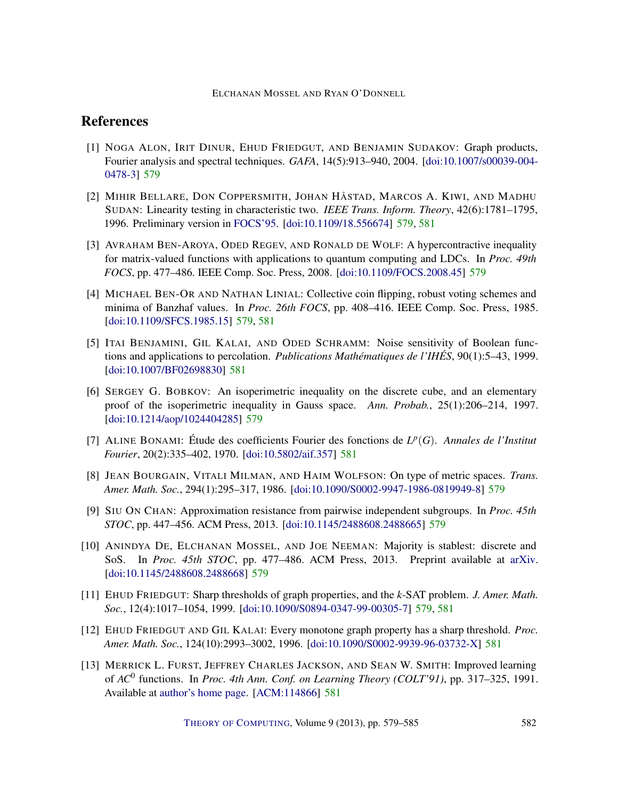ELCHANAN MOSSEL AND RYAN O'DONNELL

# References

- <span id="page-3-4"></span>[1] NOGA ALON, IRIT DINUR, EHUD FRIEDGUT, AND BENJAMIN SUDAKOV: Graph products, Fourier analysis and spectral techniques. *GAFA*, 14(5):913–940, 2004. [\[doi:10.1007/s00039-004-](http://dx.doi.org/10.1007/s00039-004-0478-3) [0478-3\]](http://dx.doi.org/10.1007/s00039-004-0478-3) [579](#page-0-0)
- <span id="page-3-1"></span>[2] MIHIR BELLARE, DON COPPERSMITH, JOHAN HÅSTAD, MARCOS A. KIWI, AND MADHU SUDAN: Linearity testing in characteristic two. *IEEE Trans. Inform. Theory*, 42(6):1781–1795, 1996. Preliminary version in [FOCS'95.](http://dx.doi.org/10.1109/SFCS.1995.492574) [\[doi:10.1109/18.556674\]](http://dx.doi.org/10.1109/18.556674) [579,](#page-0-0) [581](#page-2-0)
- <span id="page-3-2"></span>[3] AVRAHAM BEN-AROYA, ODED REGEV, AND RONALD DE WOLF: A hypercontractive inequality for matrix-valued functions with applications to quantum computing and LDCs. In *Proc. 49th FOCS*, pp. 477–486. IEEE Comp. Soc. Press, 2008. [\[doi:10.1109/FOCS.2008.45\]](http://dx.doi.org/10.1109/FOCS.2008.45) [579](#page-0-0)
- <span id="page-3-0"></span>[4] MICHAEL BEN-OR AND NATHAN LINIAL: Collective coin flipping, robust voting schemes and minima of Banzhaf values. In *Proc. 26th FOCS*, pp. 408–416. IEEE Comp. Soc. Press, 1985. [\[doi:10.1109/SFCS.1985.15\]](http://dx.doi.org/10.1109/SFCS.1985.15) [579,](#page-0-0) [581](#page-2-0)
- <span id="page-3-12"></span>[5] ITAI BENJAMINI, GIL KALAI, AND ODED SCHRAMM: Noise sensitivity of Boolean functions and applications to percolation. *Publications Mathématiques de l'IHÉS*, 90(1):5–43, 1999. [\[doi:10.1007/BF02698830\]](http://dx.doi.org/10.1007/BF02698830) [581](#page-2-0)
- <span id="page-3-5"></span>[6] SERGEY G. BOBKOV: An isoperimetric inequality on the discrete cube, and an elementary proof of the isoperimetric inequality in Gauss space. *Ann. Probab.*, 25(1):206–214, 1997. [\[doi:10.1214/aop/1024404285\]](http://dx.doi.org/10.1214/aop/1024404285) [579](#page-0-0)
- <span id="page-3-9"></span>[7] ALINE BONAMI: Étude des coefficients Fourier des fonctions de  $L^p(G)$ . *Annales de l'Institut Fourier*, 20(2):335–402, 1970. [\[doi:10.5802/aif.357\]](http://dx.doi.org/10.5802/aif.357) [581](#page-2-0)
- <span id="page-3-3"></span>[8] JEAN BOURGAIN, VITALI MILMAN, AND HAIM WOLFSON: On type of metric spaces. *Trans. Amer. Math. Soc.*, 294(1):295–317, 1986. [\[doi:10.1090/S0002-9947-1986-0819949-8\]](http://dx.doi.org/10.1090/S0002-9947-1986-0819949-8) [579](#page-0-0)
- <span id="page-3-7"></span>[9] SIU ON CHAN: Approximation resistance from pairwise independent subgroups. In *Proc. 45th STOC*, pp. 447–456. ACM Press, 2013. [\[doi:10.1145/2488608.2488665\]](http://dx.doi.org/10.1145/2488608.2488665) [579](#page-0-0)
- <span id="page-3-8"></span>[10] ANINDYA DE, ELCHANAN MOSSEL, AND JOE NEEMAN: Majority is stablest: discrete and SoS. In *Proc. 45th STOC*, pp. 477–486. ACM Press, 2013. Preprint available at [arXiv.](http://arxiv.org/abs/1211.1001) [\[doi:10.1145/2488608.2488668\]](http://dx.doi.org/10.1145/2488608.2488668) [579](#page-0-0)
- <span id="page-3-6"></span>[11] EHUD FRIEDGUT: Sharp thresholds of graph properties, and the *k*-SAT problem. *J. Amer. Math. Soc.*, 12(4):1017–1054, 1999. [\[doi:10.1090/S0894-0347-99-00305-7\]](http://dx.doi.org/10.1090/S0894-0347-99-00305-7) [579,](#page-0-0) [581](#page-2-0)
- <span id="page-3-11"></span>[12] EHUD FRIEDGUT AND GIL KALAI: Every monotone graph property has a sharp threshold. *Proc. Amer. Math. Soc.*, 124(10):2993–3002, 1996. [\[doi:10.1090/S0002-9939-96-03732-X\]](http://dx.doi.org/10.1090/S0002-9939-96-03732-X) [581](#page-2-0)
- <span id="page-3-10"></span>[13] MERRICK L. FURST, JEFFREY CHARLES JACKSON, AND SEAN W. SMITH: Improved learning of *AC*<sup>0</sup> functions. In *Proc. 4th Ann. Conf. on Learning Theory (COLT'91)*, pp. 317–325, 1991. Available at [author's home page.](http://www.cs.cmu.edu/afs/cs/Web/People/smith/papers/colt91.pdf) [\[ACM:114866\]](http://portal.acm.org/citation.cfm?id=114866) [581](#page-2-0)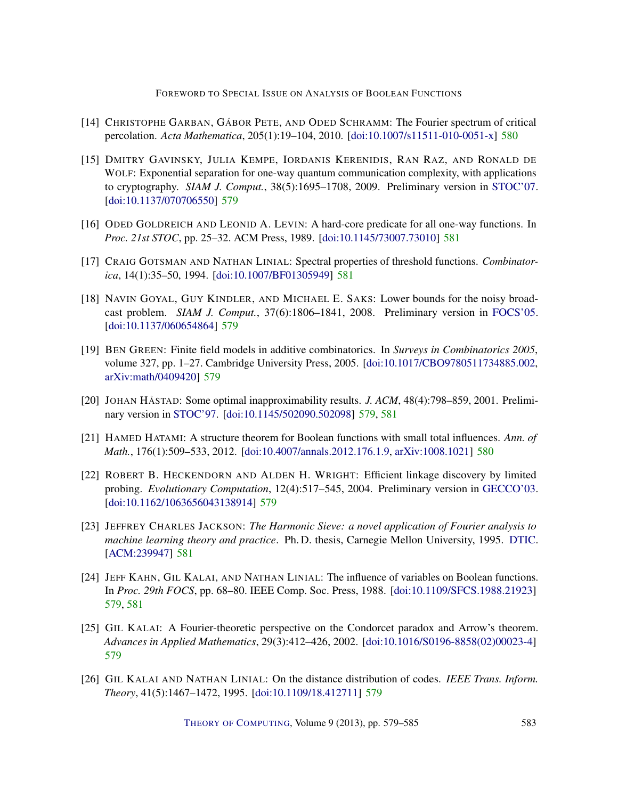FOREWORD TO SPECIAL ISSUE ON ANALYSIS OF BOOLEAN FUNCTIONS

- <span id="page-4-8"></span>[14] CHRISTOPHE GARBAN, GÁBOR PETE, AND ODED SCHRAMM: The Fourier spectrum of critical percolation. *Acta Mathematica*, 205(1):19–104, 2010. [\[doi:10.1007/s11511-010-0051-x\]](http://dx.doi.org/10.1007/s11511-010-0051-x) [580](#page-1-0)
- <span id="page-4-2"></span>[15] DMITRY GAVINSKY, JULIA KEMPE, IORDANIS KERENIDIS, RAN RAZ, AND RONALD DE WOLF: Exponential separation for one-way quantum communication complexity, with applications to cryptography. *SIAM J. Comput.*, 38(5):1695–1708, 2009. Preliminary version in [STOC'07.](http://dx.doi.org/10.1145/1250790.1250866) [\[doi:10.1137/070706550\]](http://dx.doi.org/10.1137/070706550) [579](#page-0-0)
- <span id="page-4-10"></span>[16] ODED GOLDREICH AND LEONID A. LEVIN: A hard-core predicate for all one-way functions. In *Proc. 21st STOC*, pp. 25–32. ACM Press, 1989. [\[doi:10.1145/73007.73010\]](http://dx.doi.org/10.1145/73007.73010) [581](#page-2-0)
- <span id="page-4-11"></span>[17] CRAIG GOTSMAN AND NATHAN LINIAL: Spectral properties of threshold functions. *Combinatorica*, 14(1):35–50, 1994. [\[doi:10.1007/BF01305949\]](http://dx.doi.org/10.1007/BF01305949) [581](#page-2-0)
- <span id="page-4-5"></span>[18] NAVIN GOYAL, GUY KINDLER, AND MICHAEL E. SAKS: Lower bounds for the noisy broadcast problem. *SIAM J. Comput.*, 37(6):1806–1841, 2008. Preliminary version in [FOCS'05.](http://dx.doi.org/10.1109/SFCS.2005.48) [\[doi:10.1137/060654864\]](http://dx.doi.org/10.1137/060654864) [579](#page-0-0)
- <span id="page-4-6"></span>[19] BEN GREEN: Finite field models in additive combinatorics. In *Surveys in Combinatorics 2005*, volume 327, pp. 1–27. Cambridge University Press, 2005. [\[doi:10.1017/CBO9780511734885.002,](http://dx.doi.org/10.1017/CBO9780511734885.002) [arXiv:math/0409420\]](http://arxiv.org/abs/math/0409420) [579](#page-0-0)
- <span id="page-4-4"></span>[20] JOHAN HÅSTAD: Some optimal inapproximability results. *J. ACM*, 48(4):798–859, 2001. Preliminary version in [STOC'97.](http://dx.doi.org/10.1145/258533.258536) [\[doi:10.1145/502090.502098\]](http://dx.doi.org/10.1145/502090.502098) [579,](#page-0-0) [581](#page-2-0)
- <span id="page-4-9"></span>[21] HAMED HATAMI: A structure theorem for Boolean functions with small total influences. *Ann. of Math.*, 176(1):509–533, 2012. [\[doi:10.4007/annals.2012.176.1.9,](http://dx.doi.org/10.4007/annals.2012.176.1.9) [arXiv:1008.1021\]](http://arxiv.org/abs/1008.1021) [580](#page-1-0)
- <span id="page-4-3"></span>[22] ROBERT B. HECKENDORN AND ALDEN H. WRIGHT: Efficient linkage discovery by limited probing. *Evolutionary Computation*, 12(4):517–545, 2004. Preliminary version in [GECCO'03.](http://dx.doi.org/10.1007/3-540-45105-6_111) [\[doi:10.1162/1063656043138914\]](http://dx.doi.org/10.1162/1063656043138914) [579](#page-0-0)
- <span id="page-4-12"></span>[23] JEFFREY CHARLES JACKSON: *The Harmonic Sieve: a novel application of Fourier analysis to machine learning theory and practice*. Ph. D. thesis, Carnegie Mellon University, 1995. [DTIC.](http://oai.dtic.mil/oai/oai?verb=getRecord&metadataPrefix=html&identifier=ADA303368) [\[ACM:239947\]](http://portal.acm.org/citation.cfm?id=239947) [581](#page-2-0)
- <span id="page-4-0"></span>[24] JEFF KAHN, GIL KALAI, AND NATHAN LINIAL: The influence of variables on Boolean functions. In *Proc. 29th FOCS*, pp. 68–80. IEEE Comp. Soc. Press, 1988. [\[doi:10.1109/SFCS.1988.21923\]](http://dx.doi.org/10.1109/SFCS.1988.21923) [579,](#page-0-0) [581](#page-2-0)
- <span id="page-4-7"></span>[25] GIL KALAI: A Fourier-theoretic perspective on the Condorcet paradox and Arrow's theorem. *Advances in Applied Mathematics*, 29(3):412–426, 2002. [\[doi:10.1016/S0196-8858\(02\)00023-4\]](http://dx.doi.org/10.1016/S0196-8858(02)00023-4) [579](#page-0-0)
- <span id="page-4-1"></span>[26] GIL KALAI AND NATHAN LINIAL: On the distance distribution of codes. *IEEE Trans. Inform. Theory*, 41(5):1467–1472, 1995. [\[doi:10.1109/18.412711\]](http://dx.doi.org/10.1109/18.412711) [579](#page-0-0)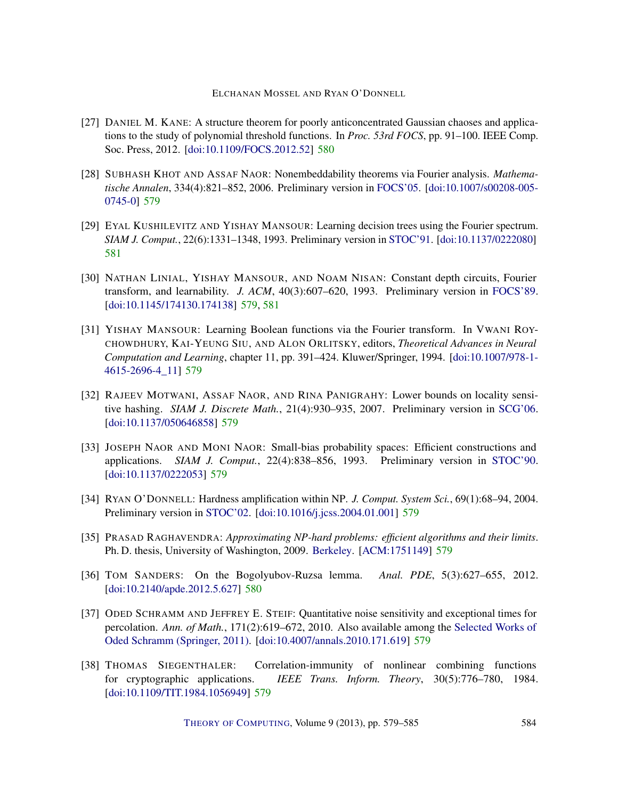#### ELCHANAN MOSSEL AND RYAN O'DONNELL

- <span id="page-5-9"></span>[27] DANIEL M. KANE: A structure theorem for poorly anticoncentrated Gaussian chaoses and applications to the study of polynomial threshold functions. In *Proc. 53rd FOCS*, pp. 91–100. IEEE Comp. Soc. Press, 2012. [\[doi:10.1109/FOCS.2012.52\]](http://dx.doi.org/10.1109/FOCS.2012.52) [580](#page-1-0)
- <span id="page-5-6"></span>[28] SUBHASH KHOT AND ASSAF NAOR: Nonembeddability theorems via Fourier analysis. *Mathematische Annalen*, 334(4):821–852, 2006. Preliminary version in [FOCS'05.](http://dx.doi.org/10.1109/SFCS.2005.54) [\[doi:10.1007/s00208-005-](http://dx.doi.org/10.1007/s00208-005-0745-0) [0745-0\]](http://dx.doi.org/10.1007/s00208-005-0745-0) [579](#page-0-0)
- <span id="page-5-11"></span>[29] EYAL KUSHILEVITZ AND YISHAY MANSOUR: Learning decision trees using the Fourier spectrum. *SIAM J. Comput.*, 22(6):1331–1348, 1993. Preliminary version in [STOC'91.](http://dx.doi.org/10.1145/103418.103466) [\[doi:10.1137/0222080\]](http://dx.doi.org/10.1137/0222080) [581](#page-2-0)
- <span id="page-5-1"></span>[30] NATHAN LINIAL, YISHAY MANSOUR, AND NOAM NISAN: Constant depth circuits, Fourier transform, and learnability. *J. ACM*, 40(3):607–620, 1993. Preliminary version in [FOCS'89.](http://dx.doi.org/10.1109/SFCS.1989.63537) [\[doi:10.1145/174130.174138\]](http://dx.doi.org/10.1145/174130.174138) [579,](#page-0-0) [581](#page-2-0)
- <span id="page-5-5"></span>[31] YISHAY MANSOUR: Learning Boolean functions via the Fourier transform. In VWANI ROY-CHOWDHURY, KAI-YEUNG SIU, AND ALON ORLITSKY, editors, *Theoretical Advances in Neural Computation and Learning*, chapter 11, pp. 391–424. Kluwer/Springer, 1994. [\[doi:10.1007/978-1-](http://dx.doi.org/10.1007/978-1-4615-2696-4_11) [4615-2696-4\\_11\]](http://dx.doi.org/10.1007/978-1-4615-2696-4_11) [579](#page-0-0)
- <span id="page-5-2"></span>[32] RAJEEV MOTWANI, ASSAF NAOR, AND RINA PANIGRAHY: Lower bounds on locality sensitive hashing. *SIAM J. Discrete Math.*, 21(4):930–935, 2007. Preliminary version in [SCG'06.](http://dx.doi.org/10.1145/1137856.1137881) [\[doi:10.1137/050646858\]](http://dx.doi.org/10.1137/050646858) [579](#page-0-0)
- <span id="page-5-4"></span>[33] JOSEPH NAOR AND MONI NAOR: Small-bias probability spaces: Efficient constructions and applications. *SIAM J. Comput.*, 22(4):838–856, 1993. Preliminary version in [STOC'90.](http://dx.doi.org/10.1145/100216.100244) [\[doi:10.1137/0222053\]](http://dx.doi.org/10.1137/0222053) [579](#page-0-0)
- <span id="page-5-0"></span>[34] RYAN O'DONNELL: Hardness amplification within NP. *J. Comput. System Sci.*, 69(1):68–94, 2004. Preliminary version in [STOC'02.](http://dx.doi.org/10.1145/509907.510015) [\[doi:10.1016/j.jcss.2004.01.001\]](http://dx.doi.org/10.1016/j.jcss.2004.01.001) [579](#page-0-0)
- <span id="page-5-8"></span>[35] PRASAD RAGHAVENDRA: *Approximating NP-hard problems: efficient algorithms and their limits*. Ph. D. thesis, University of Washington, 2009. [Berkeley.](http://www.eecs.berkeley.edu/~prasad/Files/thesis.pdf) [\[ACM:1751149\]](http://portal.acm.org/citation.cfm?id=1751149) [579](#page-0-0)
- <span id="page-5-10"></span>[36] TOM SANDERS: On the Bogolyubov-Ruzsa lemma. *Anal. PDE*, 5(3):627–655, 2012. [\[doi:10.2140/apde.2012.5.627\]](http://dx.doi.org/10.2140/apde.2012.5.627) [580](#page-1-0)
- <span id="page-5-7"></span>[37] ODED SCHRAMM AND JEFFREY E. STEIF: Quantitative noise sensitivity and exceptional times for percolation. *Ann. of Math.*, 171(2):619–672, 2010. Also available among the [Selected Works of](http://dx.doi.org/10.1007/978-1-4419-9675-6_13) [Oded Schramm \(Springer, 2011\).](http://dx.doi.org/10.1007/978-1-4419-9675-6_13) [\[doi:10.4007/annals.2010.171.619\]](http://dx.doi.org/10.4007/annals.2010.171.619) [579](#page-0-0)
- <span id="page-5-3"></span>[38] THOMAS SIEGENTHALER: Correlation-immunity of nonlinear combining functions for cryptographic applications. *IEEE Trans. Inform. Theory*, 30(5):776–780, 1984. [\[doi:10.1109/TIT.1984.1056949\]](http://dx.doi.org/10.1109/TIT.1984.1056949) [579](#page-0-0)